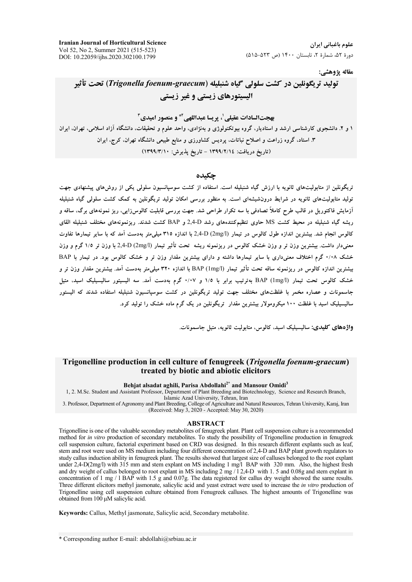**Iranian Journal of Horticultural Science** Vol 52, No 2, Summer 2021 (515-523) DOI: 10.22059/ijhs.2020.302100.1799

علوم باغیانی ایران دورهٔ ۵۲، شمارهٔ ۲، تابستان ۱۴۰۰ (ص ۵۲۳-۵۱۵)

مقاله يژوهشي:

# توليد تريكونلين در كشت سلولي گياه شنبليله (Trigonella foenum-graecum) تحت تأثير الیسیتورهای زیستی و غیر زیستی

**بهحتالسادات عقيلي'، يريسا عبداللهي<sup>2\*</sup> و منصور اميدي<sup>3</sup>** ۱ و ۲. دانشجوی کارشناسی ارشد و استادیار، گروه بیوتکنولوژی و بهنژادی، واحد علوم و تحقیقات، دانشگاه آزاد اسلامی، تهران، ایران ۳. استاد، گروه زراعت و اصلاح نباتات، پردیس کشاورزی و منابع طبیعی دانشگاه تهران، کرج، ایران (تاريخ دريافت: ١٣٩٩/٢/١٤ - تاريخ يذيرش: ١٣٩٩/٣/١٠)

#### چکیده

تریگونلین از متابولیتهای ثانویه با ارزش گیاه شنبلیله است. استفاده از کشت سوسپانسیون سلولی یکی از روشهای پیشنهادی جهت تولید متابولیتهای ثانویه در شرایط درونشیشهای است. به منظور بررسی امکان تولید تریگونلین به کمک کشت سلولی گیاه شنبلیله آزمایش فاکتوریل در قالب طرح کاملاً تصادفی با سه تکرار طراحی شد. جهت بررسی قابلیت کالوس(ایی، ریز نمونههای برگ، ساقه و ریشه گیاه شنبلیله در محیط کشت MS حاوی تنظیمکنندههای رشد 2,4-D و BAP کشت شدند. ریزنمونههای مختلف شنبلیله القای کالوس انجام شد. بیشترین اندازه طول کالوس در تیمار (2mg/l) 2,4-D- با اندازه ۳۱۵ میلی متر بهدست آمد که با سایر تیمارها تفاوت معنی دار داشت. بیشترین وزن تر و وزن خشک کالوس در ریزنمونه ریشه تحت تأثیر تیمار (2mg/l) 2,4-D با وزن تر ۱/٥ گرم و وزن خشک ۰/۰۸ گرم اختلاف معنیداری با سایر تیمارها داشته و دارای بیشترین مقدار وزن تر و خشک کالوس بود. در تیمار با BAP بیشترین اندازه کالوس در ریزنمونه ساقه تحت تأثیر تیمار BAP (1mg/l) با اندازه ۳۲۰ میلم متر بهدست آمد. بیشترین مقدار وزن تر و خشک کالوس تحت تیمار (BAP (1mg/l بهترتیب برابر با ۱/۵ و ۰/۰۷ گرم بهدست آمد. سه الیسیتور سالیسیلیک اسید، متیل .<br>حاسمونات و عصاره مخمر با غلظتهای مختلف حهت تولید تریگونلین در کشت سوسیانسیون شنیلیله استفاده شدند که الیستور سالیسیلیک اسید با غلظت ۱۰۰ میکرومولار بیشترین مقدار تریگونلین در یک گرم ماده خشک را تولید کرد.

واژەهاي كليدى: ساليسيليک اسيد، كالوس، متابوليت ثانويه، متيل جاسمونات.

### Trigonelline production in cell culture of fenugreek (Trigonella foenum-graecum) treated by biotic and abiotic elicitors

#### Behjat alsadat aghili, Parisa Abdollahi<sup>2\*</sup> and Mansour Omidi<sup>3</sup>

1, 2. M.Sc. Student and Assistant Professor, Department of Plant Breeding and Biotechnology, Science and Research Branch, Islamic Azad University, Tehran, Iran

3. Professor, Department of Agronomy and Plant Breeding, College of Agriculture and Natural Resources, Tehran University, Karaj, Iran (Received: May 3, 2020 - Accepted: May 30, 2020)

#### **ABSTRACT**

Trigonelline is one of the valuable secondary metabolites of fenugreek plant. Plant cell suspension culture is a recommended method for in vitro production of secondary metabolites. To study the possibility of Trigonelline production in fenugreek cell suspension culture, factorial experiment based on CRD was designed. In this research different explants such as leaf, stem and root were used on MS medium including four different concentration of 2,4-D and BAP plant growth regulators to study callus induction ability in fenugreek plant. The results showed that largest size of calluses belonged to the root explant under 2,4-D(2mg/l) with 315 mm and stem explant on MS including 1 mg/l BAP with 320 mm. Also, the highest fresh and dry weight of callus belonged to root explant in MS including  $2 \text{ mg} / 12,4$ -D with 1.5 and 0.08g and stem explant in concentration of 1 mg / 1 BAP with 1.5 g and 0.07g. The data registered for callus dry weight showed the same results. Three different elicitors methyl jasmonate, salicylic acid and yeast extract were used to increase the in vitro production of Trigonelline using cell suspension culture obtained from Fenugreek calluses. The highest amounts of Trigonelline was obtained from 100 µM salicylic acid.

Keywords: Callus, Methyl jasmonate, Salicylic acid, Secondary metabolite.

\* Corresponding author E-mail: abdollahi@srbiau.ac.ir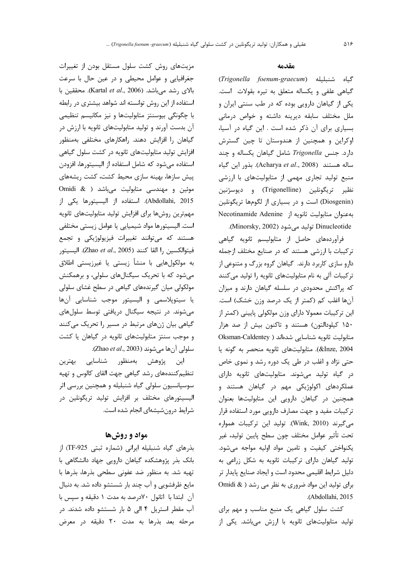مزیتهای روش کشت سلول مستقل بودن از تغییرات جغرافیایی و عوامل محیطی و در عین حال با سرعت بالای رشد می باشد. (Kartal et al., 2006). محققین با استفاده از این روش توانسته اند شواهد بیشتری در رابطه با چگونگی بیوسنتز متابولیتها و نیز مکانیسم تنظیمی آن بدست آورند و تولید متابولیتهای ثانویه با ارزش در گیاهان را افزایش دهند. راهکارهای مختلفی بهمنظور افزایش تولید متابولیتهای ثانویه در کشت سلول گیاهی استفاده میشود که شامل استفاده از الیسیتورها، افزودن پیش سازها، بهینه سازی محیط کشت، کشت ریشههای موئین و مهندسی متابولیت میباشد ( & Omidi Abdollahi, 2015). استفاده از الیسیتورها یکی از مهمترين روشها براي افزايش توليد متابوليتهاى ثانويه است. الیسیتورها مواد شیمیایی یا عوامل زیستی مختلفی هستند که میتوانند تغییرات فیزیولوژیکی و تجمع فيتوالكسين را القا كنند (Zhao et al., 2005). اليسيتور به مولکولهایی با منشأ زیستی یا غیرزیستی اطلاق میشود که با تحریک سیگنالهای سلولی، و برهمکنش مولکولی میان گیرندههای گیاهی در سطح غشای سلولی يا سيتوپلاسمى و اليسيتور موجب شناسايى آنها می شوند. در نتیجه سیگنال دریافتی توسط سلول های گیاهی بیان ژنهای مرتبط در مسیر را تحریک میکنند و موجب سنتز متابولیتهای ثانویه در گیاهان یا کشت سلولي آنها مي شوند (Zhao et al., 2003).

این پژوهش بهمنظور شناسایی بهترین تنظیم کنندههای رشد گیاهی جهت القای کالوس و تهیه سوسپانسیون سلولی گیاه شنبلیله و همچنین بررسی اثر الیسیتورهای مختلف بر افزایش تولید تریگونلین در شرایط درونشیشهای انجام شده است.

### مواد و روشها

بذرهای گیاه شنبلیله ایرانی (شماره ثبتی TF-925) از بانک بذر پژوهشکده گیاهان دارویی جهاد دانشگاهی با تهيه شد. به منظور ضد عفوني سطحي بذرها، بذرها با مایع ظرفشویی و آب چند بار شستشو داده شد. به دنبال آن ابتدا با اتانول ٧٠درصد به مدت ١ دقيقه و سپس با آب مقطر استریل ۴ الی ۵ بار شستشو داده شدند. در مرحله بعد بذرها به مدت ٢٠ دقيقه در معرض

#### مقدمه

Trigonella foenum-graecum) گیاه شنبلیله گیاهی علفی و یکساله متعلق به تیره بقولات است. یکی از گیاهان دارویی بوده که در طب سنتی ایران و ملل مختلف سابقه ديرينه داشته وخواص درمانى بسیاری برای آن ذکر شده است . این گیاه در آسیا، اوکراین و همچنین از هندوستان تا چین گسترش دارد. جنس Trigonella شامل گیاهان یکساله و چند ساله هستند (Acharya et al., 2008). بذور این گیاه منبع تولید تجاری مهمی از متابولیتهای با ارزشی نظير تريگونلين (Trigonelline) و ديوسژنين (Diosgenin) است و در بسیاری از لگومها تریگونلین Necotinamide Adenine ; به عنوان متابوليت ثانويه از Dinucleotide توليد مي شود (Minorsky, 2002).

فرآوردههای حاصل از متابولیسم ثانویه گیاهی ترکیبات با ارزشی هستند که در صنایع مختلف ازجمله دارو سازی کاربرد دارند. گیاهان گروه بزرگ و متنوعی از ترکیبات آلی به نام متابولیتهای ثانویه را تولید میکنند که پراکنش محدودی در سلسله گیاهان دارند و میزان آنها اغلب كم (كمتر از يك درصد وزن خشك) است. این ترکیبات معمولا دارای وزن مولکولی پایینی (کمتر از ۱۵۰ کیلودالتون) هستند و تاکنون بیش از صد هزار متابولیت ثانویه شناسایی شدهاند ( Oksman-Caldentey 2004. (&Inze). متابوليتهاى ثانويه منحصر به گونه يا حتی نژاد و اغلب در طی یک دوره رشد و نموی خاص در گیاه تولید می شوند. متابولیتهای ثانویه دارای عملکردهای اکولوژیکی مهم در گیاهان هستند و همچنین در گیاهان دارویی این متابولیتها بعنوان ترکیبات مفید و جهت مصارف دارویی مورد استفاده قرار می گیرند (Wink, 2010). تولید این ترکیبات همواره تحت تأثير عوامل مختلف چون سطح پايين توليد، غير یکنواختی کیفیت و تامین مواد اولیه مواجه می شود. تولید گیاهان دارای ترکیبات ثانویه به شکل زراعی به دلیل شرایط اقلیمی محدود است و ایجاد صنایع پایدار تر برای تولید این مواد ضروری به نظر می رشد ( & Omidi .(Abdollahi, 2015

کشت سلول گیاهی یک منبع مناسب و مهم برای تولید متابولیتهای ثانویه با ارزش میباشد. یکی از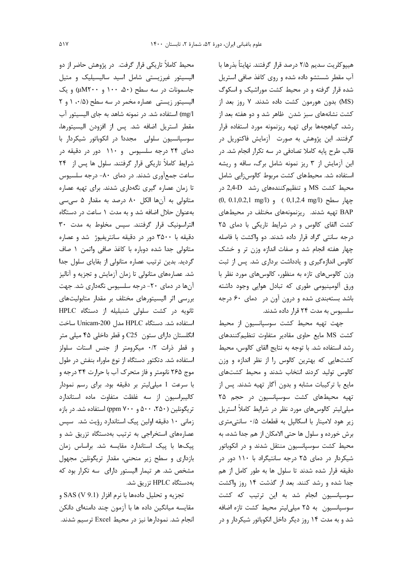محیط کاملاً تاریکی قرار گرفت. در پژوهش حاضر از دو الیسیتور غیرزیستی شامل اسید سالیسیلیک و متیل جاسمونات در سه سطح (۵۰، ۱۰۰ و wM۲۰۰) و یک الیسیتور زیستی عصاره مخمر در سه سطح (۰/۵ / و ۲ mg/l) استفاده شد. در نمونه شاهد به جای الیسیتور آب مقطر استريل اضافه شد. پس از افزودن اليسيتورها، سوسپانسیون سلولی مجددا در انکوباتور شیکردار با دمای ۲۴ درجه سلسیوس و ۱۱۰ دور در دقیقه در شرایط کاملاً تاریکی قرار گرفتند. سلول ها پس از ۲۴ ساعت جمع آوری شدند. در دمای ۸۰- درجه سلسیوس تا زمان عصاره گیری نگهداری شدند. برای تهیه عصاره متانولی به آنها الکل ۸۰ درصد به مقدار ۵ سیسی بهعنوان حلال اضافه شد و به مدت ١ ساعت در دستگاه التراسونيک قرار گرفتند. سپس مخلوط به مدت ٣٠ دقیقه با ۳۵۰۰ دور در دقیقه سانتریفیوژ شد و عصاره متانولی جدا شده دوباره با کاغذ صافی واتمن ١ صاف گردید. بدین ترتیب عصاره متانولی از بقایای سلول جدا شد. عصارههای متانولی تا زمان آزمایش و تجزیه و آنالیز آنها در دمای ۲۰- درجه سلسیوس نگهداری شد. جهت بررسی اثر الیسیتورهای مختلف بر مقدار متابولیتهای ثانويه در كشت سلولى شنبليله از دستگاه HPLC استفاده شد. دستگاه HPLC مدل Unicam-200 ساخت انگلستان دارای ستون C25 و قطر داخلی ۴۵ میلی متر و قطر ذرات ٠/٢ ميكرومتر از جنس استات سلولز استفاده شد. دتكتور دستگاه از نوع ماوراء بنفش در طول موج ۲۶۵ نانومتر و فاز متحرک آب با حرارت ۳۴ درجه و با سرعت 1 میلی لیتر بر دقیقه بود. برای رسم نمودار كاليبراسيون از سه غلظت متفاوت ماده استاندارد تر یگونلین (۲۵۰، ۵۰۰ و ۷۰۰ ppm) استفاده شد. در بازه زمانی ١٠ دقيقه اولين پيک استاندارد رؤيت شد. سپس عصارههای استخراجی به ترتیب بهدستگاه تزریق شد و پیکها با پیک استاندارد مقایسه شد. براساس زمان بازداری و سطح زیر منحنی، مقدار تریگونلین مجهول مشخص شد. هر تیمار الیستور دارای سه تکرار بود که بەدستگاه HPLC تزريق شد.

تجزيه و تحليل دادهها با نرم افزار (SAS (V 9.1 و مقایسه میانگین داده ها با آزمون چند دامنهای دانکن انجام شد. نمودارها نیز در محیط Excel ترسیم شدند. هيپوكلريت سديم ٢/۵ درصد قرار گرفتند. نهايتاً بذرها با آب مقطر شستشو داده شده و روی کاغذ صافی استریل شده قرار گرفته و در محیط کشت موراشیک و اسکوگ (MS) بدون هورمون كشت داده شدند. ۷ روز بعد از کشت نشانههای سبز شدن ظاهر شد و دو هفته بعد از رشد، گیاهچهها برای تهیه ریزنمونه مورد استفاده قرار گرفتند. این پژوهش به صورت آزمایش فاکتوریل در قالب طرح پایه کاملا تصادفی در سه تکرار انجام شد. در این آزمایش از ۳ ریز نمونه شامل برگ، ساقه و ریشه استفاده شد. محیطهای کشت مربوط کالوس;ایی شامل محیط کشت MS و تنظیم کنندههای رشد Z,4-D در  $(0, 0.1, 0.2, 1 \text{ mg/l})$  و  $(0, 1, 2.4 \text{ mg/l})$  و  $(0, 0.1, 0.2, 1 \text{ mg/l})$ BAP تهیه شدند. ریزنمونههای مختلف در محیطهای کشت القای کالوس و در شرایط تاریکی با دمای ۲۵ درجه سانتی گراد قرار داده شدند. دو واکشت با فاصله چهار هفته انجام شد و صفات اندازه وزن تر و خشک کالوس اندازهگیری و یادداشت برداری شد. پس از ثبت وزن كالوس هاى تازه به منظور، كالوس هاى مورد نظر با ورق آلومینیومی طوری که تبادل هوایی وجود داشته باشد بستهبندی شده و درون آون در همای ۶۰ درجه سلسیوس به مدت ۲۴ قرار داده شدند.

جهت تهيه محيط كشت سوسيانسيون از محيط کشت MS مایع حاوی مقادیر متفاوت تنظیم کنندهای رشد استفاده شد. با توجه به نتايج القاى كالوس، محيط کشتهایی که بهترین کالوس را از نظر اندازه و وزن کالوس تولید کردند انتخاب شدند و محیط کشتهای مایع با ترکیبات مشابه و بدون آگار تهیه شدند. پس از تهیه محیطهای کشت سوسیانسیون در حجم ۲۵ میلی لیتر کالوس های مورد نظر در شرایط کاملاً استریل زیر هود لامینار با اسکالپل به قطعات ۰/۵ سانتی متری برش خورده و سلول ها حتى الامكان از هم جدا شده، به محیط کشت سوسپانسیون منتقل شدند و در انکوباتور شیکردار در دمای ۲۵ درجه سانتیگراد با ۱۱۰ دور در دقیقه قرار شده شدند تا سلول ها به طور کامل از هم جدا شده و رشد کنند. بعد از گذشت ۱۴ روز واکشت سوسیانسیون انجام شد به این ترتیب که کشت سوسپانسیون به ۲۵ میلی لیتر محیط کشت تازه اضافه شد و به مدت ۱۴ روز دیگر داخل انکوباتور شیکردار و در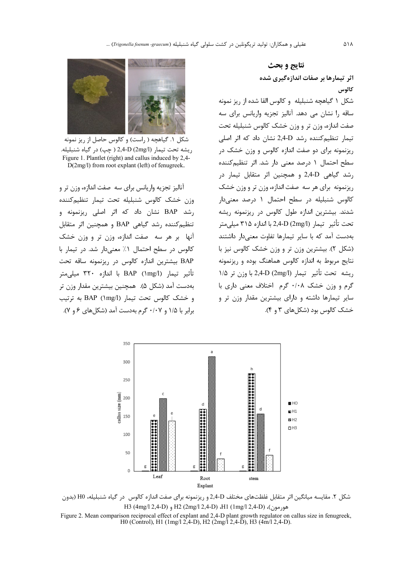# نتايج و بحث اثر تیمارها بر صفات اندازهگیری شده كالوس

شکل ۱ گیاهچه شنبلیله و کالوس القا شده از ریز نمونه ساقه را نشان می دهد. آنالیز تجزیه واریانس برای سه صفت اندازه، وزن تر و وزن خشک کالوس شنبلیله تحت تیمار تنظیم کننده رشد 2,4-D نشان داد که اثر اصلی ریزنمونه برای دو صفت اندازه کالوس و وزن خشک در سطح احتمال ١ درصد معنى دار شد. اثر تنظيم كننده رشد گیاهی 2,4-D و همچنین اثر متقابل تیمار در ریزنمونه برای هر سه صفت اندازه، وزن تر و وزن خشک کالوس شنبلیله در سطح احتمال ۱ درصد معنیدار شدند. بیشترین اندازه طول کالوس در ریزنمونه ریشه تحت تأثير تيما, 2,4-D (2mg/l) با اندازه ٣١۵ ميلي متر بهدست آمد که با سایر تیمارها تفاوت معنیدار داشتند (شکل ۲). بیشترین وزن تر و وزن خشک کالوس نیز با نتایج مربوط به اندازه کالوس هماهنگ بوده و ریزنمونه ريشه تحت تأثير تيمار (2mg/l) 2,4-D با وزن تر ١/٥ گرم و وزن خشک ۰/۰۸ گرم اختلاف معنی داری با سایر تیمارها داشته و دارای بیشترین مقدار وزن تر و خشک کالوس بود (شکلهای ۳ و ۴).



شکل ۱. گیاهچه ( راست) و کالوس حاصل از ریز نمونه ريشه تحت تيمار (2mg/l) 2,4-D ( چپ) در گياه شنبليله. Figure 1. Plantlet (right) and callus induced by 2,4- $D(2mg/l)$  from root explant (left) of fenugreek.

آنالیز تجزیه واریانس برای سه صفت اندازه، وزن تر و وزن خشك كالوس شنبليله تحت تيمار تنظيمكننده رشد BAP نشان داد که اثر اصلی ریزنمونه و تنظیم کننده رشد گیاهی BAP و همچنین اثر متقابل آنها بر هر سه صفت اندازه، وزن تر و وزن خشک كالوس در سطح احتمال ١٪ معنى دار شد. در تيمار با BAP بيشترين اندازه كالوس در ريزنمونه ساقه تحت تأثير تيمار (1/BAP (۱mg با اندازه ٣٢٠ ميلي متر بهدست آمد (شکل ۵). همچنین بیشترین مقدار وزن تر و خشک کالوس تحت تیمار (BAP (۱mg/l) به ترتیب برابر با ۱/۵ و ۰/۰۷ گرم بهدست آمد (شکلهای ۶ و ۷).



شکل ۲. مقایسه میانگین اثر متقابل غلظتهای مختلف 2,4-D و ریزنمونه برای صفت اندازه کالوس در گیاه شنبلیله، H0 (بدون هورمون)، H1 (1mg/l 2,4-D) ،H1 (1mg/l 2,4-D) و H3 (4mg/l 2,4-D)

Figure 2. Mean comparison reciprocal effect of explant and 2,4-D plant growth regulator on callus size in fenugreek, H0 (Control), H1 (1mg/l 2,4-D), H2 (2mg/l 2,4-D), H3 (4m/l 2,4-D).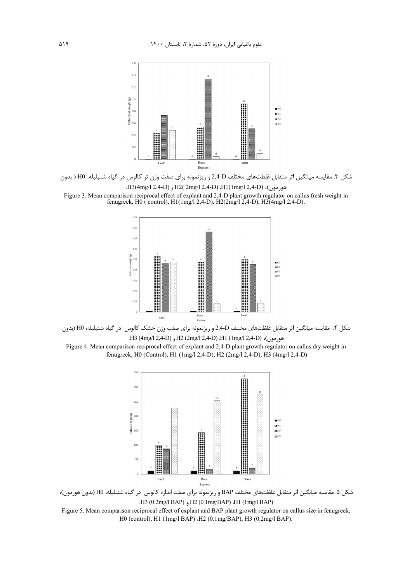

شکل ۳. مقایسه میانگین اثر متقابل غلظتهای مختلف 2,4-D و ریزنمونه برای صفت وزن تر کالوس در گیاه شنبلیله، H0 ( بدون .H3(4mg/l 2,4-D) , H2( 2mg/l 2,4-D) .H1(1mg/l 2,4-D) .H3(4mg/l 2,4-D)

Figure 3. Mean comparison reciprocal effect of explant and 2,4-D plant growth regulator on callus fresh weight in fenugreek, H0 ( control), H1(1mg/l 2,4-D), H2(2mg/l 2,4-D), H3(4mg/l 2,4-D).



شکل ۴. مقایسه میانگین اثر متقابل غلظتهای مختلف D+2,4 و ریزنمونه برای صفت وزن خشک کالوس در گیاه شنبلیله، H0 (بدون .H3 (4mg/l 2,4-D) ,H2 (2mg/l 2,4-D) *H1* (1mg/l 2,4-D) .H3

Figure 4. Mean comparison reciprocal effect of explant and 2,4-D plant growth regulator on callus dry weight in .fenugreek, H0 (Control), H1 (1mg/l 2,4-D), H2 (2mg/l 2,4-D), H3 (4mg/l 2,4-D)



شكل ۵. مقايسه ميانگين اثر متقابل غلظتهاى مختلف BAP و ريزنمونه براى صفت اندازه كالوس در گياه شنبليله، H0 (بدون هورمون)، .H3 (0.2mg/l BAP) H2 (0.1mg/BAP) H1 (1mg/l BAP)

Figure 5. Mean comparison reciprocal effect of explant and BAP plant growth regulator on callus size in fenugreek, H0 (control), H1 (1mg/l BAP) H2 (0.1mg/BAP), H3 (0.2mg/l BAP).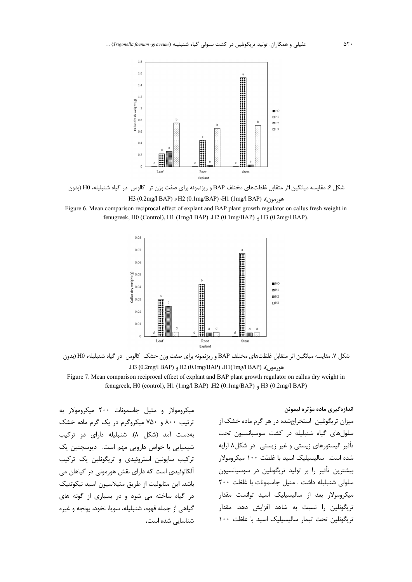

شکل ۶. مقایسه میانگین اثر متقابل غلظتهای مختلف BAP و ریزنمونه برای صفت وزن تر کالوس در گیاه شنبلیله، H0 (بدون

BAP) (H1 (1mg/l BAP) (0.2mg/l BAP) (0.1mg/BAP) (H1 (1mg/l BAP)

Figure 6. Mean comparison reciprocal effect of explant and BAP plant growth regulator on callus fresh weight in fenugreek, H0 (Control), H1 (1mg/l BAP) ،H2 (0.1mg/BAP) ,H3 (0.2mg/l BAP).



شکل ۷. مقایسه میانگین اثر متقابل غلظتهای مختلف BAP و ریزنمونه برای صفت وزن خشک کالوس در گیاه شنبلیله، H0 (بدون هورمون)، H2 (0.1mg/BAP) ،H1(1mg/l BAP) ،G و H3 (0.2mg/l BAP) ،H2 Figure 7. Mean comparison reciprocal effect of explant and BAP plant growth regulator on callus dry weight in

fenugreek, H0 (control), H1 (1mg/l BAP) ،H2 (0.1mg/BAP) ,H3 (0.2mg/l BAP)

میکرومولار و متیل جاسمونات ۲۰۰ میکرومولار به ترتیب ۸۰۰ و ۷۵۰ میکروگرم در یک گرم ماده خشک بهدست آمد (شکل ۸). شنبلیله دارای دو ترکیب شیمیایی با خواص دارویی مهم است. دیوسجنین یک ترکیب سایونین استروئیدی و تریگونلین یک ترکیب آلکالوئیدی است که دارای نقش هورمونی در گیاهان می باشد. این متابولیت از طریق متیلاسیون اسید نیکوتنیک در گیاه ساخته می شود و در بسیاری از گونه های گیاهی از جمله قهوه، شنبلیله، سویا، نخود، یونجه و غیره شناسایی شده است.

اندازهگیری ماده مؤثره لیمونن میزان تریگونلین استخراجشده در هر گرم ماده خشک از سلول های گیاه شنبلیله در کشت سوسپانسیون تحت تأثیر الیستورهای زیستی و غیر زیستی ٍ در شکل۸ ارایه شده است. سالیسیلیک اسید با غلظت ۱۰۰ میکرومولار بیشترین تأثیر را بر تولید تریگونلین در سوسپانسیون سلولی شنبلیله داشت . متیل جاسمونات با غلظت ٢٠٠ میکرومولار بعد از سالیسیلیک اسید توانست مقدار تریگونلین را نسبت به شاهد افزایش دهد. مقدار تربگونلین تحت تیمار سالیسیلیک اسید با غلظت ١٠٠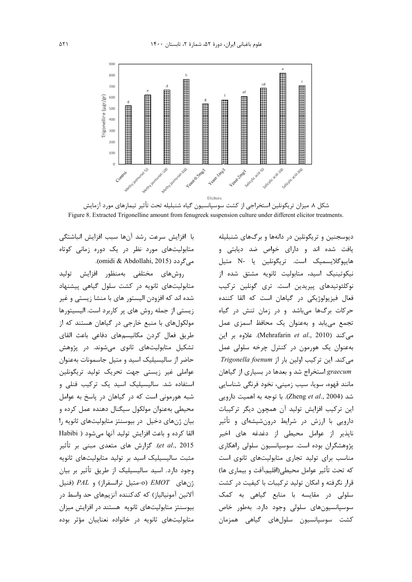

شکل ۸. میزان تریگونلین استخراجی از کشت سوسپانسیون گیاه شنبلیله تحت تأثیر تیمارهای مورد آزمایش Figure 8. Extracted Trigonelline amount from fenugreek suspension culture under different elicitor treatments.

با افزايش سرعت رشد آنها سبب افزايش انباشتگى متابولیتهای مورد نظر در یک دوره زمانی کوتاه مي گردد (omidi & Abdollahi, 2015).

روشهای مختلفی بهمنظور افزایش تولید متابولیتهای ثانویه در کشت سلول گیاهی پیشنهاد شده اند که افزودن الیستور های با منشا زیستی و غیر زیستی از جمله روش های پر کاربرد است. الیسیتورها مولکولهای با منبع خارجی در گیاهان هستند که از طريق فعال كردن مكانيسمهاى دفاعى باعث القاى تشکیل متابولیتهای ثانوی می شوند. در پژوهش حاضر از سالیسیلیک اسید و متیل جاسمونات بهعنوان عواملی غیر زیستی جهت تحریک تولید تریگونلین .<br>استفاده شد. سالیسیلیک اسید یک ترکیب فنلی و شبه هورمونی است که در گیاهان در پاسخ به عوامل محيطي بهعنوان مولكول سيگنال دهنده عمل كرده و بيان ژنهاى دخيل در بيوسنتز متابوليتهاى ثانويه را القا كرده و باعث افزايش توليد آنها مي شود ( Habibi et al., 2015). گزارش های متعدی مبنی بر تأثیر مثبت سالیسیلیک اسید بر تولید متابولیتهای ثانویه وجود دارد. اسید سالیسیلیک از طریق تأثیر بر بیان  $PAL$  و  $PAL$  (فنيل)  $EMOT$  (فنيل) ترانسفراز) و  $PAL$ آلانین آمونیالیاز) که کدکننده آنزیمهای حد واسط در بیوسنتز متابولیتهای ثانویه هستند در افزایش میزان متابولیتهای ثانویه در خانواده نعناییان مؤثر بوده دیوسجنین و تریگونلین در دانهها و برگهای شنبلیله یافت شده اند و دارای خواص ضد دیابتی و هاييوگلايسميک است. تريگونلين يا -N متيل نیکوتینیک اسید، متابولیت ثانویه مشتق شده از نوكلئوتيدهاى پيريدين است. ترى گونلين تركيب فعال فیزیولوژیکی در گیاهان است که القا کننده حرکات برگها میباشد و در زمان تنش در گیاه تجمع می یابد و به عنوان یک محافظ اسمزی عمل می کند (Mehrafarin et al., 2010). علاوه بر این بهعنوان یک هورمون در کنترل چرخه سلولی عمل می کند. این ترکیب اولین بار از Trigonella foenum graecum استخراج شد و بعدها در بسیاری از گیاهان مانند قهوه، سويا، سيب زميني، نخود فرنگي شناسايي شد (Zheng et al., 2004). با توجه به اهميت دارويي این ترکیب افزایش تولید آن همچون دیگر ترکیبات دارویی با ارزش در شرایط درونشیشهای و تأثیر ناپذیر از عوامل محیطی از دغدغه های اخیر پژوهشگران بوده است. سوسپانسیون سلولی راهکاری مناسب برای تولید تجاری متابولیتهای ثانوی است كه تحت تأثير عوامل محيطي(اقليم،آفت و بيماري ها) قرار نگرفته و امکان تولید ترکیبات با کیفیت در کشت سلولی در مقایسه با منابع گیاهی به کمک سوسپانسیونهای سلولی وجود دارد. بهطور خاص كشت سوسيانسيون سلولهاى گياهى همزمان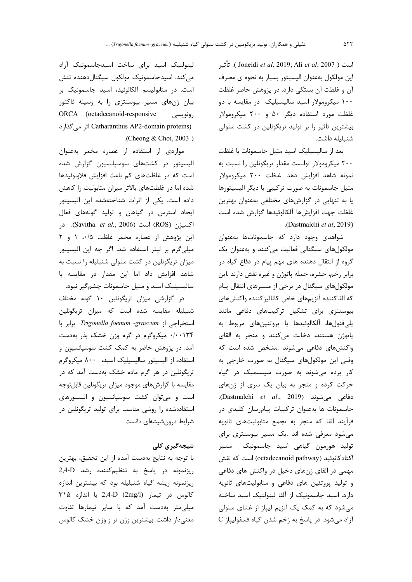است ( Joneidi *et al.* 2019; Ali *et al.* 2007 ). تأثير این مولکول بهعنوان الیسیتور بسیار به نحوه ی مصرف آن و غلظت آن بستگی دارد. در پژوهش حاضر غلظت ۱۰۰ میکرومولار اسید سالیسیلیک در مقایسه با دو غلظت مورد استفاده دیگر ۵۰ و ۲۰۰ میکرومولار بیشترین تأثیر را بر تولید تریگونلین در کشت سلولی شنبليله داشت.

بعد از سالیسیلیک اسید متیل جاسمونات با غلظت ۲۰۰ میکرومولار توانست مقدار تریگونلین را نسبت به نمونه شاهد افزايش دهد. غلظت ۲۰۰ ميكرومولار متیل جاسمونات به صورت ترکیبی با دیگر الیسیتورها یا به تنهایی در گزارشهای مختلفی بهعنوان بهترین غلظت جهت افزايشها آلكالوئيدها گزارش شده است .(Dastmalchi et al, 2019).

شواهدی وجود دارد که جاسموناتها بهعنوان مولکولهای سیگنالی فعالیت میکنند و بهعنوان یک گروه از انتقال دهنده های مهم پیام در دفاع گیاه در برابر زخم، حشره، حمله پاتوژن و غیره نقش دارند .این مولکولهای سیگنال در برخی از مسیرهای انتقال پیام كه القاكننده آنزيمهاي خاص كاتاليز كننده واكنش هاي بیوسنتزی برای تشکیل ترکیبهای دفاعی مانند پلې فنولها، آلکالوئیدها یا پروتئینهای مربوط به پاتوژن هستند، دخالت میکنند و منجر به القای واکنشهای دفاعی میشوند .مشخص شده است که وقتی این مولکولهای سیگنال به صورت خارجی به کار برده میشوند به صورت سیستمیک در گیاه حرکت کرده و منجر به بیان یک سری از ژنهای دفاعی میشوند (Dastmalchi et al., 2019). جاسمونات ها بهعنوان تركيبات پيامرسان كليدى در فرآیند القا که منجر به تجمع متابولیتهای ثانویه می شود معرفی شده اند .یک مسیر بیوسنتزی برای تولید هورمون گیاهی اسید جاسمونیک مسیر اکتادکانوئید (octadecanoid pathway) است که نقش مهمی در القای ژنهای دخیل در واکنش های دفاعی و تولید پروتئین های دفاعی و متابولیتهای ثانویه دارد. اسید جاسمونیک از آلفا لینولنیک اسید ساخته می شود که به کمک یک آنزیم لیپاز از غشای سلولی آزاد می شود. در پاسخ به زخم شدن گیاه فسفولیپاز C

لینولنیک اسید برای ساخت اسیدجاسمونیک آزاد می کند. اسیدجاسمونیک مولکول سیگنالدهنده تنش است. در متابولیسم آلکالوئید، اسید جاسمونیک بر بیان ژنهای مسیر بیوسنتزی را به وسیله فاکتور ORCA (octadecanoid-responsive رونویسے Catharanthus AP2-domain proteins) اثر می گذارد .(Cheong & Choi, 2003)

مواردی از استفاده از عصاره مخمر بهعنوان الیسیتور در کشتهای سوسپانسیون گزارش شده است که در غلظتهای کم باعث افزایش فلاونوئیدها شده اما در غلظتهای بالاتر میزان متابولیت را کاهش داده است. یکی از اثرات شناختهشده این الیسیتور ایجاد استرس در گیاهان و تولید گونههای فعال اكسيژن (ROS) است (Savitha. *et al.*, 2006). در این پژوهش از عصاره مخمر غلظت ۰/۵، ۱ و ۲ میلی گرم بر لیتر استفاده شد. اگر چه این الیسیتور میزان تریگونلین در کشت سلولی شنبلیله را نسبت به شاهد افزایش داد اما این مقدار در مقایسه با سالیسیلیک اسید و متیل جاسمونات چشم *گ*یر نبود.

در گزارشی میزان تریگونلین ۱۰ گونه مختلف شنبلیله مقایسه شده است که میزان تریگونلین استخراجی از Trigonella foenum -graecum برابر با ۰/۰۰۱۳۴ میکروگرم در گرم وزن خشک بذر بهدست آمد. در پژوهش حاضر به کمک کشت سوسیانسیون و استفاده از الیسیتور سالیسیلیک اسید، ۸۰۰ میکروگرم تریگونلین در هر گرم ماده خشک بهدست آمد که در مقایسه با گزارشهای موجود میزان تریگونلین قابلتوجه است و می توان کشت سوسیانسیون و الیستورهای استفادهشده را روشی مناسب برای تولید تریگونلین در شرایط درونشیشهای دانست.

## نتیجەگیرى كلى

با توجه به نتايج بهدست آمده از اين تحقيق، بهترين ریزنمونه در پاسخ به تنظیم *کننده* رشد 2,4-D ریزنمونه ریشه گیاه شنبلیله بود که بیشترین اندازه كالوس در تيمار (2mg/l) 2,4-D با اندازه ٣١۵ میلی متر به دست آمد که با سایر تیمارها تفاوت معنی دار داشت. بیشترین وزن تر و وزن خشک کالوس